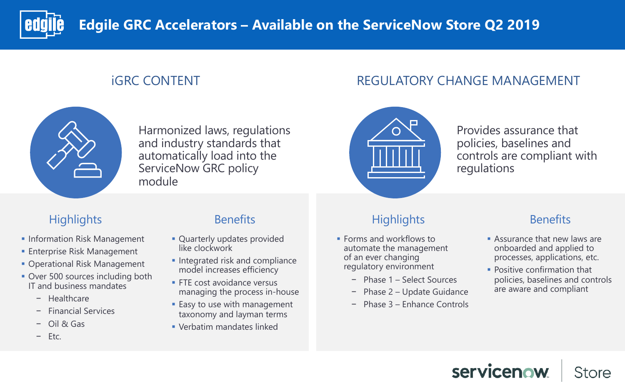### **IGRC CONTENT THE REGULATORY CHANGE MANAGEMENT**



- **Information Risk Management**
- **Enterprise Risk Management**
- Operational Risk Management
- Over 500 sources including both IT and business mandates
	- − Healthcare
	- − Financial Services
	- − Oil & Gas
	- − Etc.

- Quarterly updates provided like clockwork
- **Integrated risk and compliance** model increases efficiency
- **FTE cost avoidance versus** managing the process in-house
- Easy to use with management taxonomy and layman terms
- § Verbatim mandates linked

### Highlights **Benefits**

## Highlights Benefits

- **Forms and workflows to** automate the management of an ever changing regulatory environment
	- − Phase 1 Select Sources
	- − Phase 2 Update Guidance
	- − Phase 3 Enhance Controls



- **Assurance that new laws are** onboarded and applied to processes, applications, etc.
- **Positive confirmation that** policies, baselines and controls are aware and compliant

## servicenow

**Store** 

Harmonized laws, regulations and industry standards that automatically load into the ServiceNow GRC policy module



### Provides assurance that policies, baselines and controls are compliant with

regulations